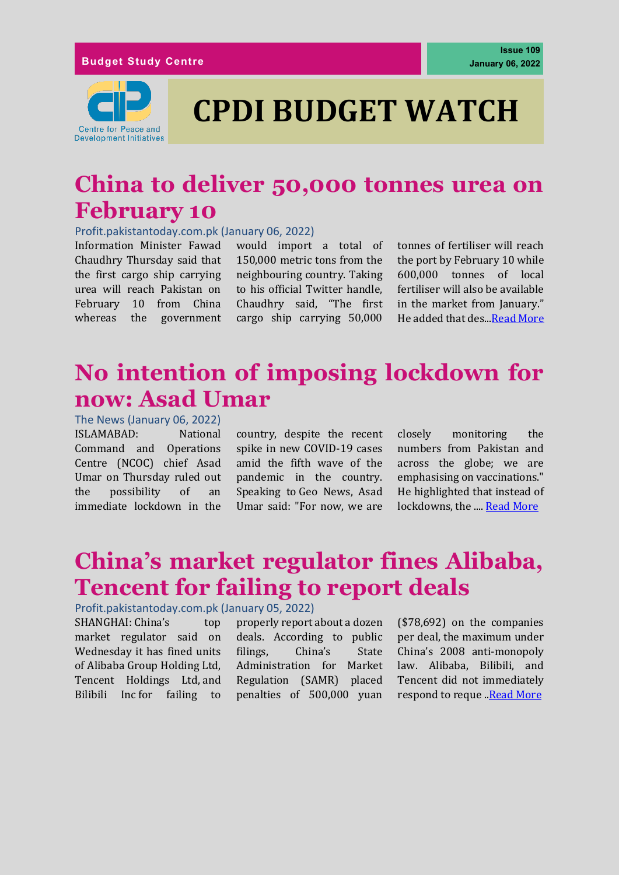

# **CPDI BUDGET WATCH**

### **China to deliver 50,000 tonnes urea on February 10**

Profit.pakistantoday.com.pk (January 06, 2022)

Information Minister Fawad Chaudhry Thursday said that the first cargo ship carrying urea will reach Pakistan on February 10 from China whereas the government

would import a total of 150,000 metric tons from the neighbouring country. Taking to his official Twitter handle, Chaudhry said, "The first cargo ship carrying 50,000 tonnes of fertiliser will reach the port by February 10 while 600,000 tonnes of local fertiliser will also be available in the market from January." He added that des..[.Read More](https://profit.pakistantoday.com.pk/2022/01/06/china-to-deliver-50000-tonnes-urea-on-february-10/)

### **No intention of imposing lockdown for now: Asad Umar**

The News (January 06, 2022) ISLAMABAD: National Command and Operations Centre (NCOC) chief Asad Umar on Thursday ruled out the possibility of an immediate lockdown in the

country, despite the recent spike in new COVID-19 cases amid the fifth wave of the pandemic in the country. Speaking to Geo News, Asad Umar said: "For now, we are

closely monitoring the numbers from Pakistan and across the globe; we are emphasising on vaccinations." He highlighted that instead of lockdowns, the .... [Read More](https://www.thenews.com.pk/latest/922952-no-intention-of-imposing-lockdown-for-now-asad-umar)

## **China's market regulator fines Alibaba, Tencent for failing to report deals**

#### Profit.pakistantoday.com.pk (January 05, 2022)

SHANGHAI: China's top market regulator said on Wednesday it has fined units of Alibaba Group Holding Ltd, Tencent Holdings Ltd, and Bilibili Inc for failing to properly report about a dozen deals. According to public filings, China's State Administration for Market Regulation (SAMR) placed penalties of 500,000 yuan

(\$78,692) on the companies per deal, the maximum under China's 2008 anti-monopoly law. Alibaba, Bilibili, and Tencent did not immediately respond to reque .. Read More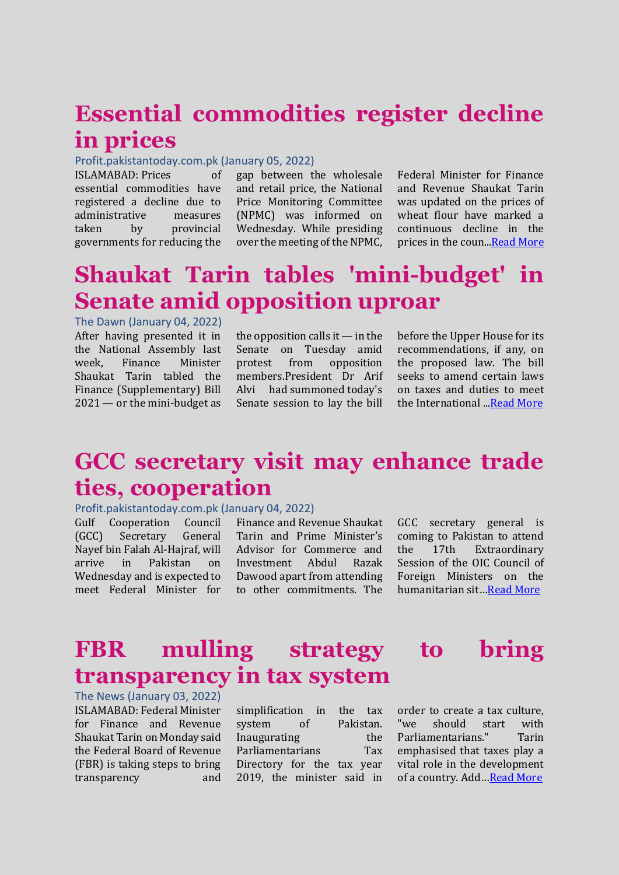### **Essential commodities register decline in prices**

#### Profit.pakistantoday.com.pk (January 05, 2022)

ISLAMABAD: Prices of essential commodities have registered a decline due to administrative measures taken by provincial governments for reducing the

gap between the wholesale and retail price, the National Price Monitoring Committee (NPMC) was informed on Wednesday. While presiding over the meeting of the NPMC,

Federal Minister for Finance and Revenue Shaukat Tarin was updated on the prices of wheat flour have marked a continuous decline in the prices in the coun.[..Read More](https://profit.pakistantoday.com.pk/2022/01/05/essential-commodities-register-decline-in-prices/)

### **Shaukat Tarin tables 'mini-budget' in Senate amid opposition uproar**

The Dawn (January 04, 2022) After having presented it in the National Assembly last week, Finance Minister Shaukat Tarin tabled the Finance (Supplementary) Bill 2021 — or the mini-budget as

the opposition calls it — in the Senate on Tuesday amid protest from opposition members.President Dr Arif Alvi had [summoned](https://www.dawn.com/news/1667531) today's Senate session to lay the bill

before the Upper House for its recommendations, if any, on the proposed law. The bill seeks to amend certain laws on taxes and duties to meet the International ... Read More

### **GCC secretary visit may enhance trade ties, cooperation**

#### Profit.pakistantoday.com.pk (January 04, 2022)

Gulf Cooperation Council (GCC) Secretary General Nayef bin Falah Al-Hajraf, will arrive in Pakistan on Wednesday and is expected to meet Federal Minister for

Finance and Revenue Shaukat Tarin and Prime Minister's Advisor for Commerce and Investment Abdul Razak Dawood apart from attending to other commitments. The

GCC secretary general is coming to Pakistan to attend the 17th Extraordinary Session of the OIC Council of Foreign Ministers on the humanitarian sit…[Read More](https://profit.pakistantoday.com.pk/2022/01/04/gcc-secretary-visit-may-enhance-trade-ties-cooperation/)

#### **FBR mulling strategy to bring transparency in tax system**

The News (January 03, 2022) ISLAMABAD: Federal Minister for Finance and Revenue Shaukat Tarin on Monday said the Federal Board of Revenue (FBR) is taking steps to bring transparency and

| simplification in          |    |  | the | tax       |
|----------------------------|----|--|-----|-----------|
| system                     | οf |  |     | Pakistan. |
| Inaugurating               |    |  |     | the       |
| Parliamentarians           |    |  |     | Tax       |
| Directory for the tax year |    |  |     |           |
| 2019, the minister said in |    |  |     |           |

order to create a tax culture, "we should start with Parliamentarians." Tarin emphasised that taxes play a vital role in the development of a country. Add... [Read More](https://www.thenews.com.pk/latest/922212-fbr-working-to)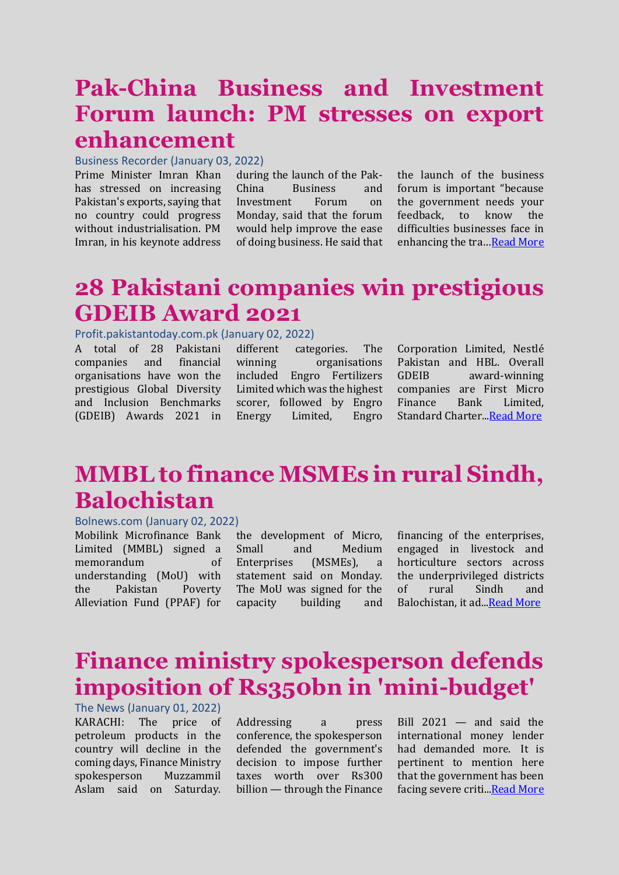### **Pak-China Business and Investment Forum launch: PM stresses on export enhancement**

#### Business Recorder (January 03, 2022)

Prime Minister Imran Khan has stressed on increasing Pakistan's exports, saying that no country could progress without industrialisation. PM Imran, in his keynote address

during the launch of the Pak-China Business and Investment Forum on Monday, said that the forum would help improve the ease of doing business. He said that

the launch of the business forum is important "because the government needs your feedback, to know the difficulties businesses face in enhancing the tra…[Read More](https://www.brecorder.com/news/40144364)

### **28 Pakistani companies win prestigious GDEIB Award 2021**

#### Profit.pakistantoday.com.pk (January 02, 2022)

A total of 28 Pakistani companies and financial organisations have won the prestigious Global Diversity and Inclusion Benchmarks (GDEIB) Awards 2021 in

different categories. The winning organisations included Engro Fertilizers Limited which was the highest scorer, followed by Engro Energy Limited, Engro

Corporation Limited, Nestlé Pakistan and HBL. Overall GDEIB award-winning companies are First Micro Finance Bank Limited, Standard Charter.[..Read More](https://profit.pakistantoday.com.pk/2022/01/02/28-pakistani-companies-win-prestigious-gdeib-award-2021/)

### **MMBL to finance MSMEs in rural Sindh, Balochistan**

#### Bolnews.com (January 02, 2022)

Mobilink Microfinance Bank Limited (MMBL) signed a memorandum of understanding (MoU) with the Pakistan Poverty Alleviation Fund (PPAF) for

the development of Micro, Small and Medium Enterprises (MSMEs), a statement said on Monday. The MoU was signed for the capacity building and

financing of the enterprises, engaged in livestock and horticulture sectors across the underprivileged districts of rural Sindh and Balochistan, it ad.[..Read More](https://www.bolnews.com/business/2022/01/mmbl-to-finance-msmes-in-rural-sindh-balochistan-2/)

### **Finance ministry spokesperson defends imposition of Rs350bn in 'mini-budget'**

The News (January 01, 2022) KARACHI: The price of petroleum products in the country will decline in the coming days, Finance Ministry spokesperson Muzzammil Aslam said on Saturday.

Addressing a press conference, the spokesperson defended the government's decision to impose further taxes worth over Rs300 billion — through the Finance Bill 2021 — and said the international money lender had demanded more. It is pertinent to mention here that the government has been facing severe criti... Read More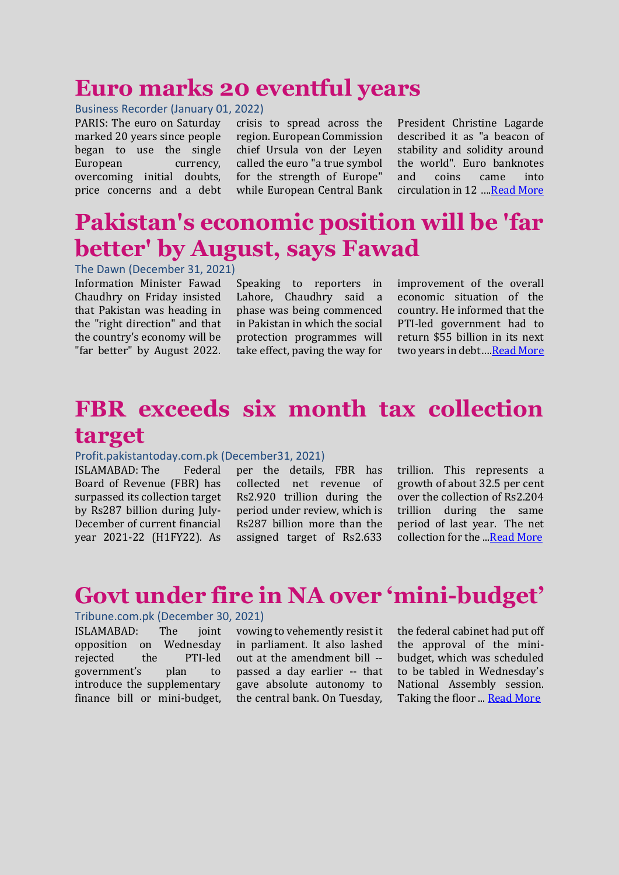#### **Euro marks 20 eventful years**

#### Business Recorder (January 01, 2022)

PARIS: The euro on Saturday marked 20 years since people began to use the single European currency, overcoming initial doubts, price concerns and a debt crisis to spread across the region. European Commission chief Ursula von der Leyen called the euro "a true symbol for the strength of Europe" while European Central Bank President Christine Lagarde described it as "a beacon of stability and solidity around the world". Euro banknotes and coins came into circulation in 12 ….[Read More](https://www.brecorder.com/news/40144048/euro-marks-20-eventful-years)

#### **Pakistan's economic position will be 'far better' by August, says Fawad**

The Dawn (December 31, 2021) Information Minister Fawad Chaudhry on Friday insisted that Pakistan was heading in the "right direction" and that the country's economy will be "far better" by August 2022.

Speaking to reporters in Lahore, Chaudhry said a phase was being commenced in Pakistan in which the social protection programmes will take effect, paving the way for

improvement of the overall economic situation of the country. He informed that the PTI-led government had to return \$55 billion in its next two years in debt...[.Read More](https://www.dawn.com/news/1666832)

### **FBR exceeds six month tax collection target**

#### Profit.pakistantoday.com.pk (December31, 2021)

ISLAMABAD: The Federal Board of Revenue (FBR) has surpassed its collection target by Rs287 billion during July-December of current financial year 2021-22 (H1FY22). As

per the details, FBR has collected net revenue of Rs2.920 trillion during the period under review, which is Rs287 billion more than the assigned target of Rs2.633 trillion. This represents a growth of about 32.5 per cent over the collection of Rs2.204 trillion during the same period of last year. The net collection for the .[..Read More](https://profit.pakistantoday.com.pk/2021/12/31/fbr-exceeds-six-month-tax-collection-target/)

#### **Govt under fire in NA over 'mini-budget'**

#### Tribune.com.pk (December 30, 2021)

ISLAMABAD: The joint opposition on Wednesday rejected the PTI-led government's plan to introduce the supplementary finance bill or mini-budget,

vowing to vehemently resist it in parliament. It also lashed out at the amendment bill - passed a day earlier -- that gave absolute autonomy to the central bank. On Tuesday,

the federal cabinet had put off the approval of the minibudget, which was scheduled to be tabled in Wednesday's National Assembly session. Taking the floor ... [Read More](https://tribune.com.pk/story/2336332/govt-under-fire-in-na-over-mini-budget)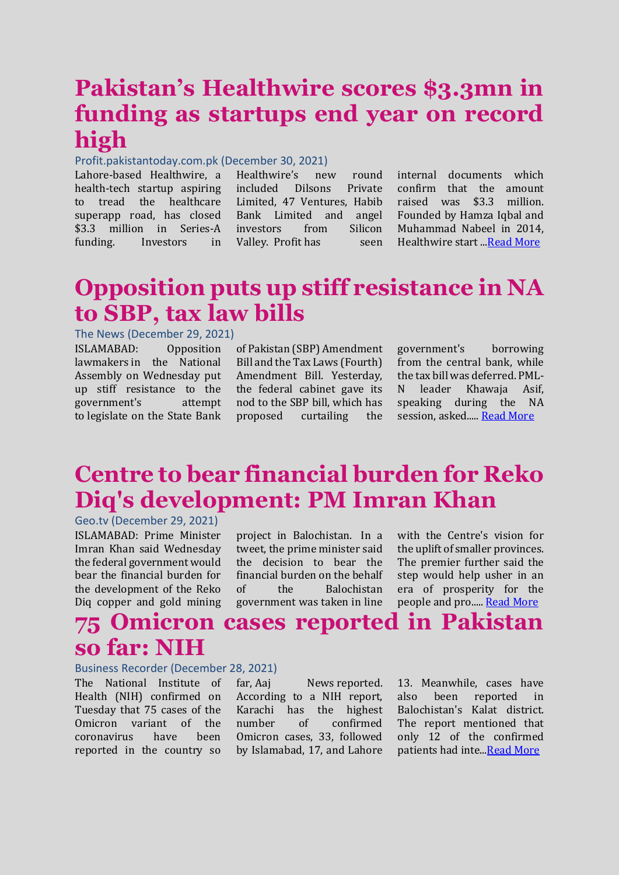### **Pakistan's Healthwire scores \$3.3mn in funding as startups end year on record high**

#### Profit.pakistantoday.com.pk (December 30, 2021)

Lahore-based Healthwire, a health-tech startup aspiring to tread the healthcare superapp road, has closed \$3.3 million in Series-A funding. Investors in

Healthwire's new round included Dilsons Private Limited, 47 Ventures, Habib Bank Limited and angel investors from Silicon Valley. Profit has seen

internal documents which confirm that the amount raised was \$3.3 million. Founded by Hamza Iqbal and Muhammad Nabeel in 2014, Healthwire start ..[.Read More](https://profit.pakistantoday.com.pk/2021/12/30/pakistans-healthwire-scores-3-3mn-in-funding-as-startups-end-year-on-record-high/)

### **Opposition puts up stiff resistance in NA to SBP, tax law bills**

#### The News (December 29, 2021)

ISLAMABAD: Opposition lawmakers in the National Assembly on Wednesday put up stiff resistance to the government's attempt to legislate on the State Bank

of Pakistan (SBP) Amendment Bill and the Tax Laws (Fourth) Amendment Bill. Yesterday, the federal cabinet gave its nod to the SBP bill, which has proposed curtailing the government's borrowing from the central bank, while the tax bill was deferred. PML-N leader Khawaja Asif, speaking during the NA session, asked..... [Read More](https://www.thenews.com.pk/latest/920849-opposition-puts-up-stiff-resistance-in-na-to-sbp-tax-law-bills)

### **Centre to bear financial burden for Reko Diq's development: PM Imran Khan**

Geo.tv (December 29, 2021) ISLAMABAD: Prime Minister Imran Khan said Wednesday the federal government would bear the financial burden for the development of the Reko Diq copper and gold mining

project in Balochistan. In a tweet, the prime minister said the decision to bear the financial burden on the behalf of the Balochistan government was taken in line

with the Centre's vision for the uplift of smaller provinces. The premier further said the step would help usher in an era of prosperity for the people and pro..... [Read More](https://www.geo.tv/latest/390460-centre-to-bear-financial-burden-for-reko-diqs-development-pm-imran-khan)

#### **75 Omicron cases reported in Pakistan so far: NIH**

#### Business Recorder (December 28, 2021)

The National Institute of Health (NIH) confirmed on Tuesday that 75 cases of the Omicron variant of the coronavirus have been reported in the country so

far, Aaj News reported. According to a NIH report, Karachi has the highest number of confirmed Omicron cases, 33, followed by Islamabad, 17, and Lahore

13. Meanwhile, cases have also been reported in Balochistan's Kalat district. The report mentioned that only 12 of the confirmed patients had inte.[..Read More](https://www.brecorder.com/news/40143088/75-omicron-cases-reported-in-pakistan-so-far-nih)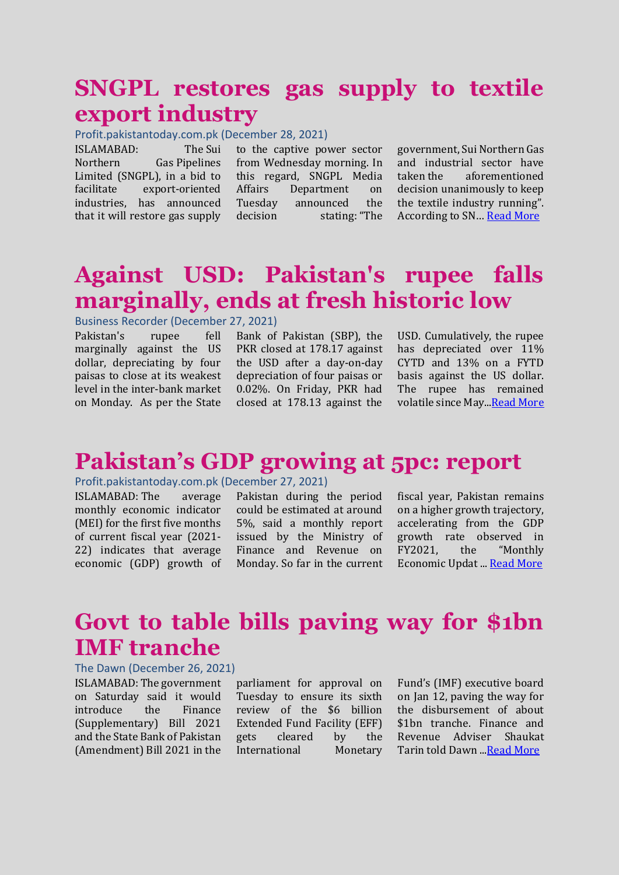### **SNGPL restores gas supply to textile export industry**

Profit.pakistantoday.com.pk (December 28, 2021)

ISLAMABAD: The Sui Northern Gas Pipelines Limited (SNGPL), in a bid to facilitate export-oriented industries, has announced that it will restore gas supply

to the captive power sector from Wednesday morning. In this regard, SNGPL Media Affairs Department on Tuesday announced the decision stating: "The

government, Sui Northern Gas and industrial sector have taken the aforementioned decision unanimously to keep the textile industry running". According to SN… [Read More](https://profit.pakistantoday.com.pk/2021/12/28/sngpl-restores-gas-supply-to-textile-export-industry/)

### **Against USD: Pakistan's rupee falls marginally, ends at fresh historic low**

Business Recorder (December 27, 2021)

Pakistan's rupee fell marginally against the US dollar, depreciating by four paisas to close at its weakest level in the inter-bank market on Monday. As per the State

Bank of Pakistan (SBP), the PKR closed at 178.17 against the USD after a day-on-day depreciation of four paisas or 0.02%. On Friday, PKR had closed at 178.13 against the

USD. Cumulatively, the rupee has depreciated over 11% CYTD and 13% on a FYTD basis against the US dollar. The rupee has remained volatile since May..[.Read More](https://www.brecorder.com/news/40142803)

#### **Pakistan's GDP growing at 5pc: report**

#### Profit.pakistantoday.com.pk (December 27, 2021)

ISLAMABAD: The average monthly economic indicator (MEI) for the first five months of current fiscal year (2021- 22) indicates that average economic (GDP) growth of

Pakistan during the period could be estimated at around 5%, said a monthly report issued by the Ministry of Finance and Revenue on Monday. So far in the current fiscal year, Pakistan remains on a higher growth trajectory, accelerating from the GDP growth rate observed in FY2021, the "Monthly Economic Updat ... [Read More](https://profit.pakistantoday.com.pk/2021/12/27/pakistans-gdp-growing-at-5pc-report/)

### **Govt to table bills paving way for \$1bn IMF tranche**

#### The Dawn (December 26, 2021)

ISLAMABAD: The government on Saturday said it would introduce the Finance (Supplementary) Bill 2021 and the State Bank of Pakistan (Amendment) Bill 2021 in the

parliament for approval on Tuesday to ensure its sixth review of the \$6 billion Extended Fund Facility (EFF) gets cleared by the International Monetary

Fund's (IMF) executive board on Jan 12, paving the way for the disbursement of about \$1bn tranche. Finance and Revenue Adviser Shaukat Tarin told Dawn .[..Read More](https://www.dawn.com/news/1665831)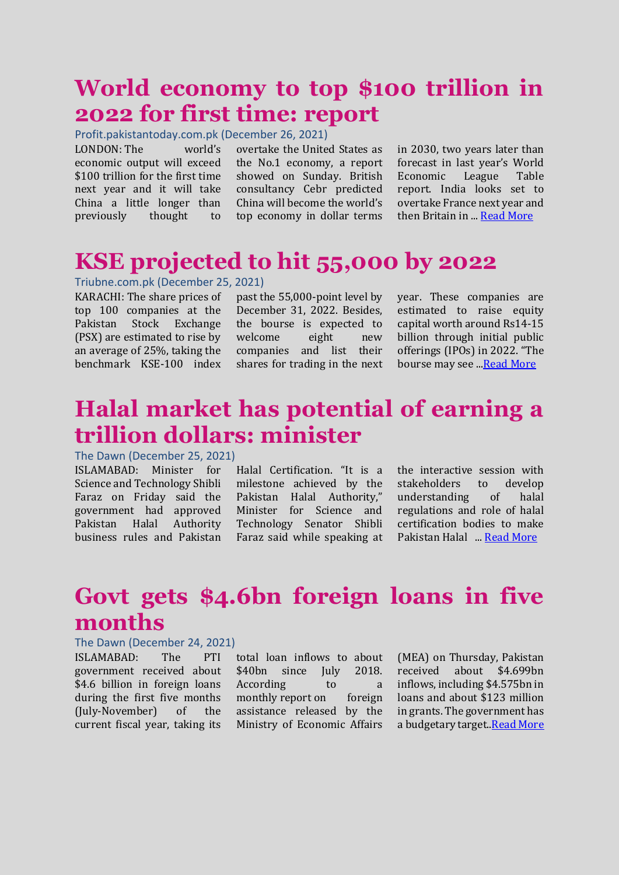### **World economy to top \$100 trillion in 2022 for first time: report**

Profit.pakistantoday.com.pk (December 26, 2021)

LONDON: The world's economic output will exceed \$100 trillion for the first time next year and it will take China a little longer than previously thought to

overtake the United States as the No.1 economy, a report showed on Sunday. British consultancy Cebr predicted China will become the world's top economy in dollar terms

in 2030, two years later than forecast in last year's World Economic League Table report. India looks set to overtake France next year and then Britain in ... [Read More](https://profit.pakistantoday.com.pk/2021/12/26/world-economy-to-top-100-trillion-in-2022-for-first-time-report/)

## **KSE projected to hit 55,000 by 2022**

#### Triubne.com.pk (December 25, 2021)

KARACHI: The share prices of top 100 companies at the Pakistan Stock Exchange (PSX) are estimated to rise by an average of 25%, taking the benchmark KSE-100 index

past the 55,000-point level by December 31, 2022. Besides, the bourse is expected to welcome eight new companies and list their shares for trading in the next year. These companies are estimated to raise equity capital worth around Rs14-15 billion through initial public offerings (IPOs) in 2022. "The bourse may see ..[.Read More](https://tribune.com.pk/story/2335524/kse-projected-to-hit-55000-by-2022)

### **Halal market has potential of earning a trillion dollars: minister**

The Dawn (December 25, 2021)

ISLAMABAD: Minister for Science and Technology Shibli Faraz on Friday said the government had approved Pakistan Halal Authority business rules and Pakistan

Halal Certification. "It is a milestone achieved by the Pakistan Halal Authority," Minister for Science and Technology Senator Shibli Faraz said while speaking at

the interactive session with stakeholders to develop understanding of halal regulations and role of halal certification bodies to make Pakistan Halal ... [Read More](https://www.dawn.com/news/1665620)

### **Govt gets \$4.6bn foreign loans in five months**

#### The Dawn (December 24, 2021)

ISLAMABAD: The PTI government received about \$4.6 billion in foreign loans during the first five months (July-November) of the current fiscal year, taking its

total loan inflows to about \$40bn since July 2018. According to a monthly [report](https://ead.gov.pk/SiteImage/Publication/MonthlyReportNovember2021.pdf) on foreign assistance released by the Ministry of Economic Affairs

(MEA) on Thursday, Pakistan received about \$4.699bn inflows, including \$4.575bn in loans and about \$123 million in grants. The government has a budgetary target.[.Read More](https://www.dawn.com/news/1665491)